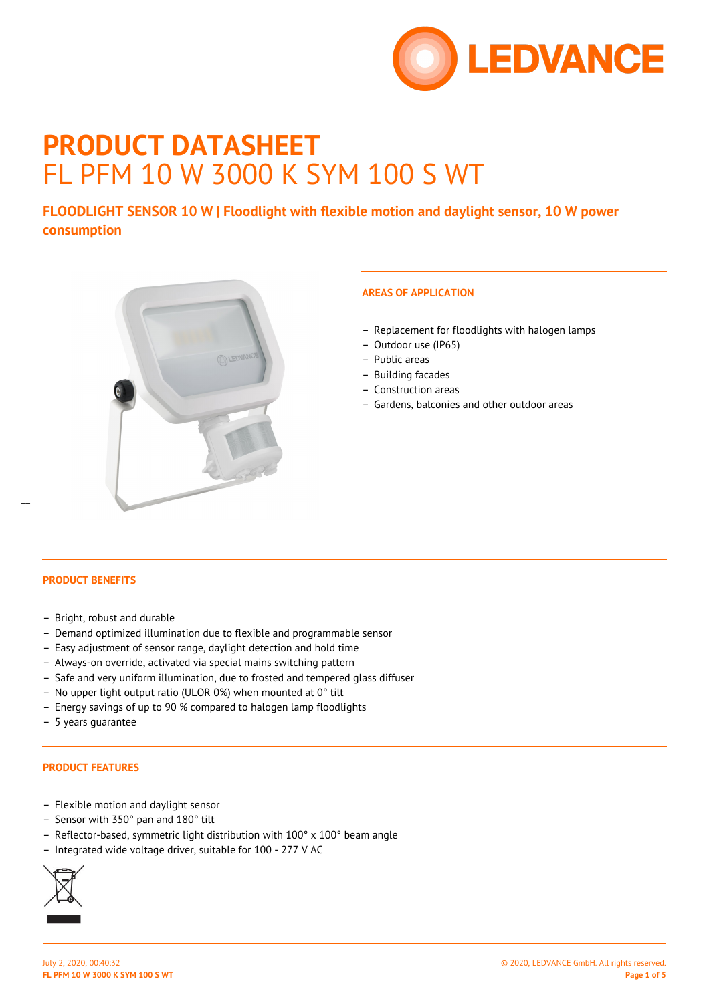

# **PRODUCT DATASHEET** FL PFM 10 W 3000 K SYM 100 S WT

**FLOODLIGHT SENSOR 10 W | Floodlight with flexible motion and daylight sensor, 10 W power consumption**



## **AREAS OF APPLICATION**

- Replacement for floodlights with halogen lamps
- Outdoor use (IP65)
- Public areas
- Building facades
- Construction areas
- Gardens, balconies and other outdoor areas

#### **PRODUCT BENEFITS**

 $\overline{a}$ 

- Bright, robust and durable
- Demand optimized illumination due to flexible and programmable sensor
- Easy adjustment of sensor range, daylight detection and hold time
- Always-on override, activated via special mains switching pattern
- Safe and very uniform illumination, due to frosted and tempered glass diffuser
- No upper light output ratio (ULOR 0%) when mounted at 0° tilt
- Energy savings of up to 90 % compared to halogen lamp floodlights
- 5 years guarantee

## **PRODUCT FEATURES**

- Flexible motion and daylight sensor
- Sensor with 350° pan and 180° tilt
- Reflector-based, symmetric light distribution with 100° x 100° beam angle
- Integrated wide voltage driver, suitable for 100 277 V AC

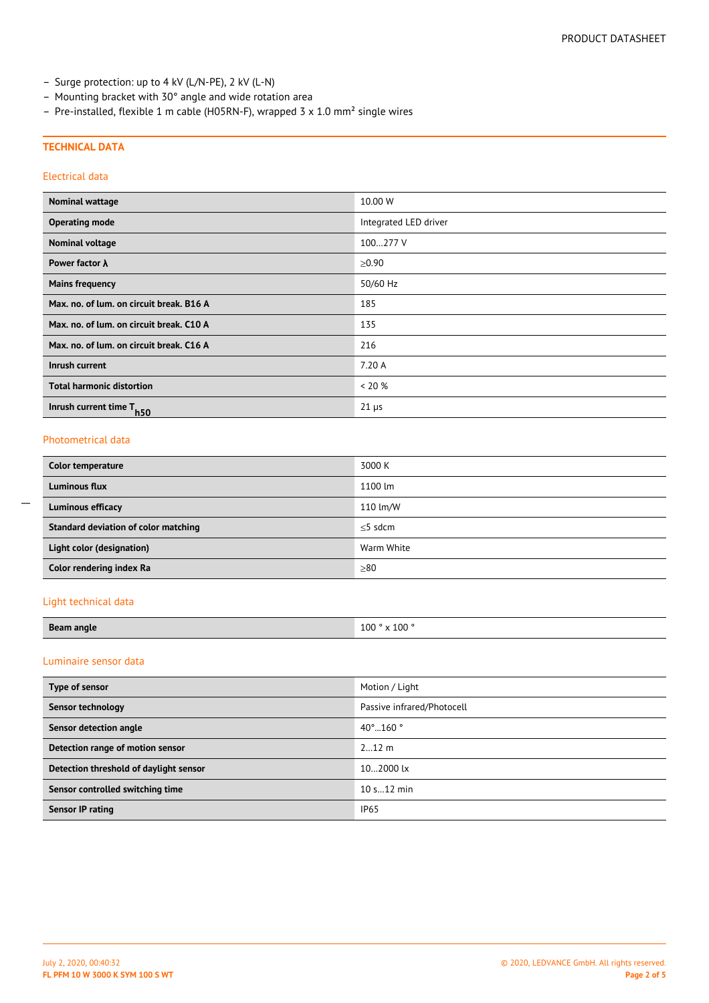- Surge protection: up to 4 kV (L/N-PE), 2 kV (L-N)
- Mounting bracket with 30° angle and wide rotation area
- Pre-installed, flexible 1 m cable (H05RN-F), wrapped 3  $\times$  1.0 mm<sup>2</sup> single wires

#### **TECHNICAL DATA**

### Electrical data

| <b>Nominal wattage</b>                   | 10.00 W               |
|------------------------------------------|-----------------------|
| <b>Operating mode</b>                    | Integrated LED driver |
| <b>Nominal voltage</b>                   | 100277 V              |
| Power factor $\lambda$                   | $\ge 0.90$            |
| <b>Mains frequency</b>                   | 50/60 Hz              |
| Max. no. of lum. on circuit break. B16 A | 185                   |
| Max. no. of lum. on circuit break. C10 A | 135                   |
| Max. no. of lum. on circuit break. C16 A | 216                   |
| Inrush current                           | 7.20 A                |
| <b>Total harmonic distortion</b>         | $< 20\%$              |
| Inrush current time T <sub>h50</sub>     | $21 \,\mu s$          |

#### Photometrical data

 $\overline{a}$ 

| Color temperature                    | 3000 K     |
|--------------------------------------|------------|
| <b>Luminous flux</b>                 | 1100 lm    |
| Luminous efficacy                    | 110 lm/W   |
| Standard deviation of color matching | $<$ 5 sdcm |
| Light color (designation)            | Warm White |
| Color rendering index Ra             | $\geq 80$  |

#### Light technical data

| <b>Beam angle</b> | $\times$ 100 $^\circ$<br>100<br>$\lambda$ |
|-------------------|-------------------------------------------|

## Luminaire sensor data

| Type of sensor                         | Motion / Light              |
|----------------------------------------|-----------------------------|
| Sensor technology                      | Passive infrared/Photocell  |
| Sensor detection angle                 | $40^{\circ}$ 160 $^{\circ}$ |
| Detection range of motion sensor       | $212$ m                     |
| Detection threshold of daylight sensor | 102000 lx                   |
| Sensor controlled switching time       | 10 s 12 min                 |
| Sensor IP rating                       | <b>IP65</b>                 |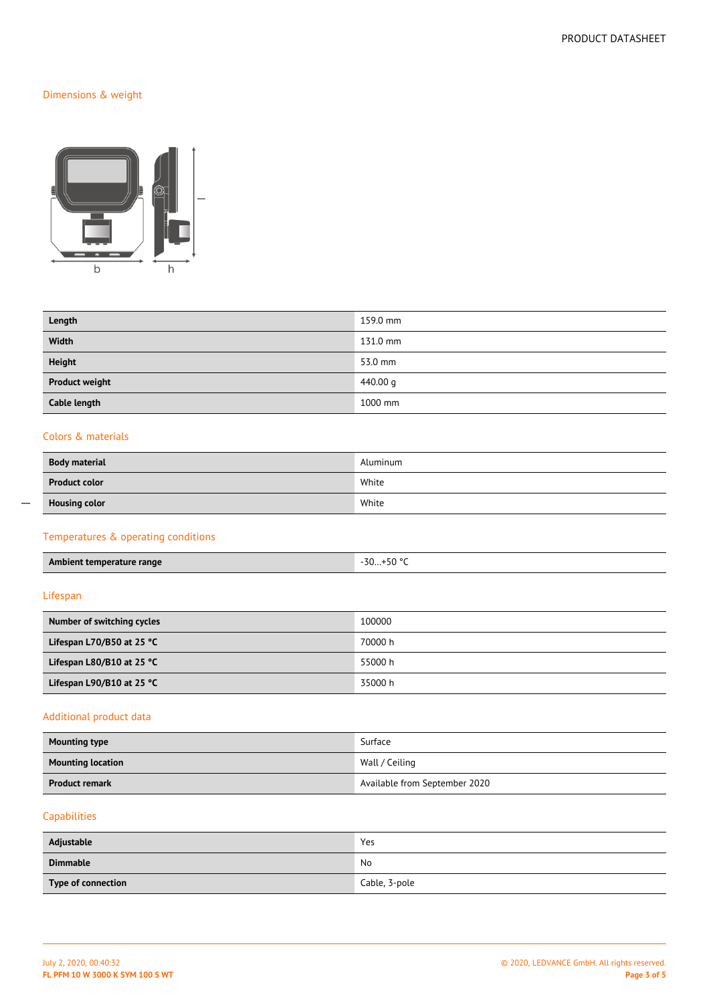## Dimensions & weight



| Length                | 159.0 mm |
|-----------------------|----------|
| Width                 | 131.0 mm |
| <b>Height</b>         | 53.0 mm  |
| <b>Product weight</b> | 440.00 g |
| Cable length          | 1000 mm  |

### Colors & materials

| <b>Body material</b> | Aluminum |
|----------------------|----------|
| <b>Product color</b> | White    |
| <b>Housing color</b> | White    |

## Temperatures & operating conditions

| <b>Ambient temp</b><br>'emperature<br>range | -30<br>$\Gamma$ <sup>00</sup><br>эu<br>JV<br>$\begin{array}{cccccccccccccc} \multicolumn{4}{c}{} & \multicolumn{4}{c}{} & \multicolumn{4}{c}{} & \multicolumn{4}{c}{} & \multicolumn{4}{c}{} & \multicolumn{4}{c}{} & \multicolumn{4}{c}{} & \multicolumn{4}{c}{} & \multicolumn{4}{c}{} & \multicolumn{4}{c}{} & \multicolumn{4}{c}{} & \multicolumn{4}{c}{} & \multicolumn{4}{c}{} & \multicolumn{4}{c}{} & \multicolumn{4}{c}{} & \multicolumn{4}{c}{} & \multicolumn{4}{c}{} & \multicolumn{4}{c}{} & \multicolumn{4}{c}{} & \$ |
|---------------------------------------------|-------------------------------------------------------------------------------------------------------------------------------------------------------------------------------------------------------------------------------------------------------------------------------------------------------------------------------------------------------------------------------------------------------------------------------------------------------------------------------------------------------------------------------------|
|                                             |                                                                                                                                                                                                                                                                                                                                                                                                                                                                                                                                     |

## Lifespan

| Number of switching cycles          | 100000  |
|-------------------------------------|---------|
| Lifespan L70/B50 at 25 $°C$         | 70000 h |
| Lifespan L80/B10 at 25 $^{\circ}$ C | 55000 h |
| Lifespan L90/B10 at 25 $^{\circ}$ C | 35000 h |

## Additional product data

| <b>Mounting type</b>            | Surface                       |
|---------------------------------|-------------------------------|
| <b>Mounting location</b>        | Wall / Ceiling                |
| <b>Product remark</b><br>______ | Available from September 2020 |

## Capabilities

| Adjustable         | Yes           |
|--------------------|---------------|
| <b>Dimmable</b>    | No            |
| Type of connection | Cable, 3-pole |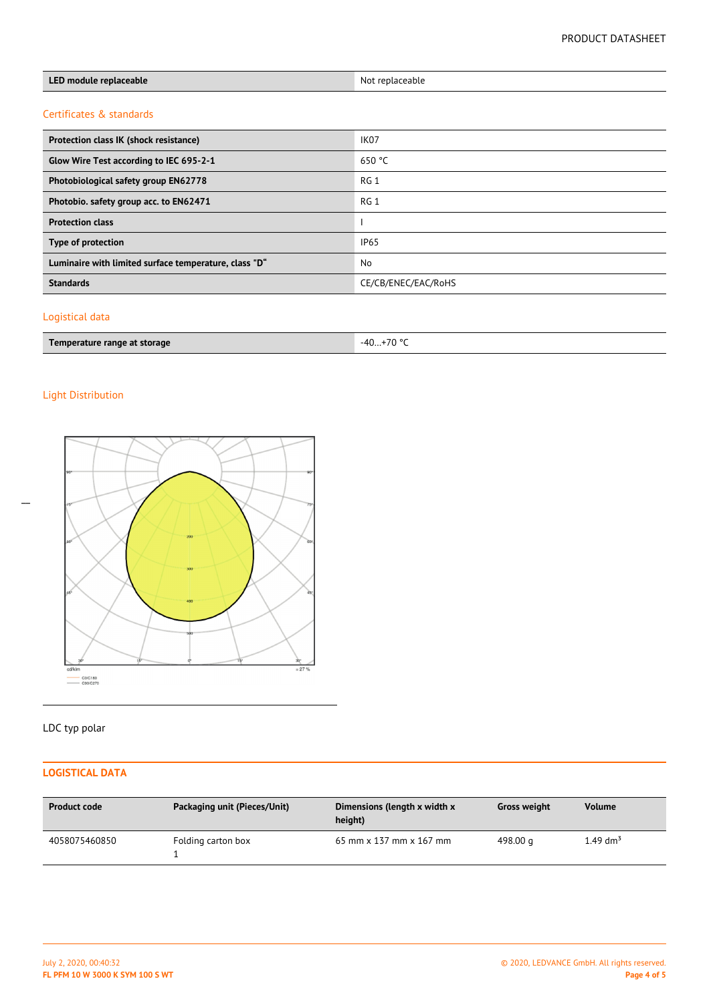| LED module replaceable                                | Not replaceable     |
|-------------------------------------------------------|---------------------|
| Certificates & standards                              |                     |
| Protection class IK (shock resistance)                | IK <sub>07</sub>    |
| Glow Wire Test according to IEC 695-2-1               | 650 °C              |
| Photobiological safety group EN62778                  | RG <sub>1</sub>     |
| Photobio. safety group acc. to EN62471                | RG <sub>1</sub>     |
| <b>Protection class</b>                               |                     |
| Type of protection                                    | IP <sub>65</sub>    |
| Luminaire with limited surface temperature, class "D" | <b>No</b>           |
| <b>Standards</b>                                      | CE/CB/ENEC/EAC/RoHS |
|                                                       |                     |

## Logistical data

| Temperature range at storage | 70°<br>$-40$<br>$\mathbf{u}$<br>` |
|------------------------------|-----------------------------------|
|------------------------------|-----------------------------------|

## Light Distribution

 $\overline{a}$ 



# LDC typ polar

## **LOGISTICAL DATA**

| <b>Product code</b> | Packaging unit (Pieces/Unit) | Dimensions (length x width x<br>height) | <b>Gross weight</b> | <b>Volume</b>        |
|---------------------|------------------------------|-----------------------------------------|---------------------|----------------------|
| 4058075460850       | Folding carton box           | 65 mm x 137 mm x 167 mm                 | 498.00 g            | 1.49 dm <sup>3</sup> |